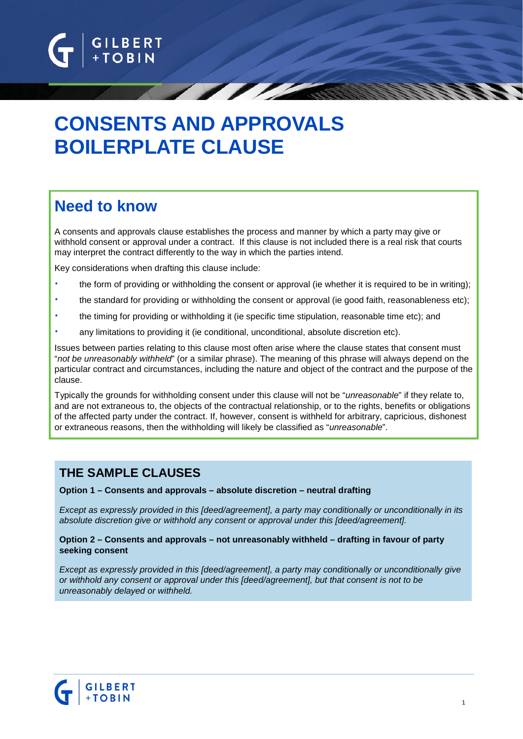

# **CONSENTS AND APPROVALS BOILERPLATE CLAUSE**

# **Need to know**

A consents and approvals clause establishes the process and manner by which a party may give or withhold consent or approval under a contract. If this clause is not included there is a real risk that courts may interpret the contract differently to the way in which the parties intend.

Key considerations when drafting this clause include:

- the form of providing or withholding the consent or approval (ie whether it is required to be in writing);
- the standard for providing or withholding the consent or approval (ie good faith, reasonableness etc);
- the timing for providing or withholding it (ie specific time stipulation, reasonable time etc); and
- any limitations to providing it (ie conditional, unconditional, absolute discretion etc).

Issues between parties relating to this clause most often arise where the clause states that consent must "*not be unreasonably withheld*" (or a similar phrase). The meaning of this phrase will always depend on the particular contract and circumstances, including the nature and object of the contract and the purpose of the clause.

Typically the grounds for withholding consent under this clause will not be "*unreasonable*" if they relate to, and are not extraneous to, the objects of the contractual relationship, or to the rights, benefits or obligations of the affected party under the contract. If, however, consent is withheld for arbitrary, capricious, dishonest or extraneous reasons, then the withholding will likely be classified as "*unreasonable*".

# **THE SAMPLE CLAUSES**

#### **Option 1 – Consents and approvals – absolute discretion – neutral drafting**

*Except as expressly provided in this [deed/agreement], a party may conditionally or unconditionally in its absolute discretion give or withhold any consent or approval under this [deed/agreement].*

#### **Option 2 – Consents and approvals – not unreasonably withheld – drafting in favour of party seeking consent**

*Except as expressly provided in this [deed/agreement], a party may conditionally or unconditionally give or withhold any consent or approval under this [deed/agreement], but that consent is not to be unreasonably delayed or withheld.*

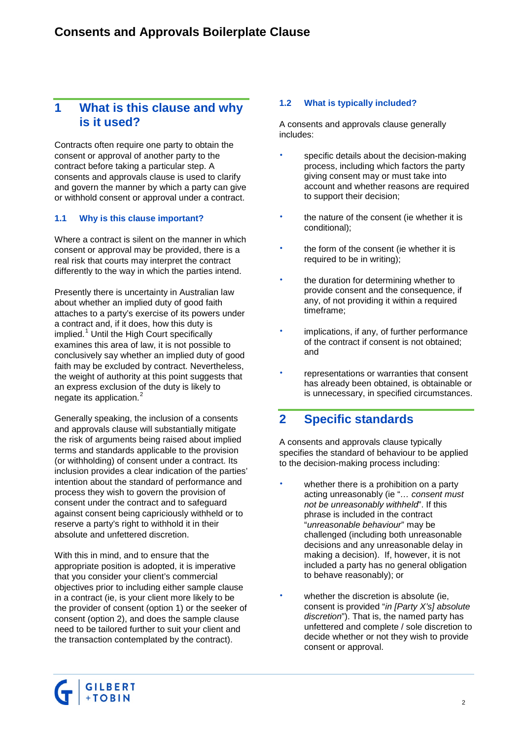# **1 What is this clause and why is it used?**

Contracts often require one party to obtain the consent or approval of another party to the contract before taking a particular step. A consents and approvals clause is used to clarify and govern the manner by which a party can give or withhold consent or approval under a contract.

## <span id="page-1-0"></span>**1.1 Why is this clause important?**

Where a contract is silent on the manner in which consent or approval may be provided, there is a real risk that courts may interpret the contract differently to the way in which the parties intend.

Presently there is uncertainty in Australian law about whether an implied duty of good faith attaches to a party's exercise of its powers under a contract and, if it does, how this duty is implied. [1](#page-5-0) Until the High Court specifically examines this area of law, it is not possible to conclusively say whether an implied duty of good faith may be excluded by contract. Nevertheless, the weight of authority at this point suggests that an express exclusion of the duty is likely to negate its application.<sup>[2](#page-5-1)</sup>

Generally speaking, the inclusion of a consents and approvals clause will substantially mitigate the risk of arguments being raised about implied terms and standards applicable to the provision (or withholding) of consent under a contract. Its inclusion provides a clear indication of the parties' intention about the standard of performance and process they wish to govern the provision of consent under the contract and to safeguard against consent being capriciously withheld or to reserve a party's right to withhold it in their absolute and unfettered discretion.

With this in mind, and to ensure that the appropriate position is adopted, it is imperative that you consider your client's commercial objectives prior to including either sample clause in a contract (ie, is your client more likely to be the provider of consent (option 1) or the seeker of consent (option 2), and does the sample clause need to be tailored further to suit your client and the transaction contemplated by the contract).

# **1.2 What is typically included?**

A consents and approvals clause generally includes:

- specific details about the decision-making process, including which factors the party giving consent may or must take into account and whether reasons are required to support their decision;
- the nature of the consent (ie whether it is conditional);
- the form of the consent (ie whether it is required to be in writing);
- the duration for determining whether to provide consent and the consequence, if any, of not providing it within a required timeframe;
- implications, if any, of further performance of the contract if consent is not obtained; and
- representations or warranties that consent has already been obtained, is obtainable or is unnecessary, in specified circumstances.

# **2 Specific standards**

A consents and approvals clause typically specifies the standard of behaviour to be applied to the decision-making process including:

- whether there is a prohibition on a party acting unreasonably (ie "*… consent must not be unreasonably withheld*". If this phrase is included in the contract "*unreasonable behaviour*" may be challenged (including both unreasonable decisions and any unreasonable delay in making a decision). If, however, it is not included a party has no general obligation to behave reasonably); or
- whether the discretion is absolute (ie, consent is provided "*in [Party X's] absolute discretion*"). That is, the named party has unfettered and complete / sole discretion to decide whether or not they wish to provide consent or approval.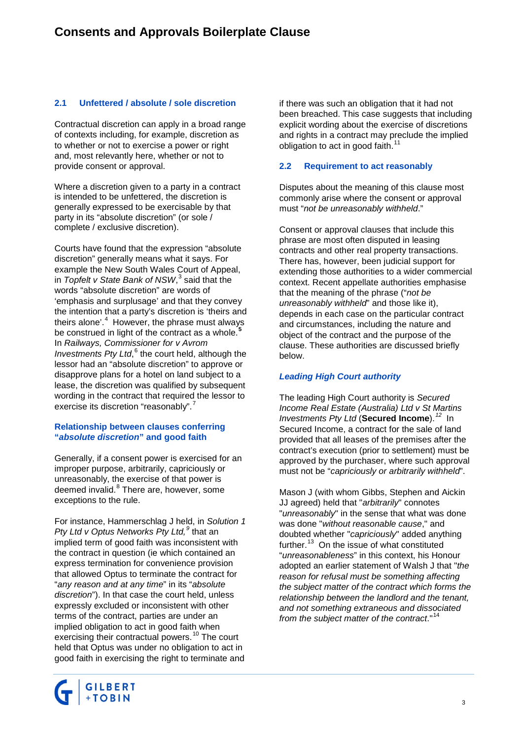## **2.1 Unfettered / absolute / sole discretion**

Contractual discretion can apply in a broad range of contexts including, for example, discretion as to whether or not to exercise a power or right and, most relevantly here, whether or not to provide consent or approval.

Where a discretion given to a party in a contract is intended to be unfettered, the discretion is generally expressed to be exercisable by that party in its "absolute discretion" (or sole / complete / exclusive discretion).

Courts have found that the expression "absolute discretion" generally means what it says. For example the New South Wales Court of Appeal, in *Topfelt v State Bank of NSW*, [3](#page-5-2) said that the words "absolute discretion" are words of 'emphasis and surplusage' and that they convey the intention that a party's discretion is 'theirs and theirs alone'.<sup>[4](#page-5-3)</sup> However, the phrase must always be construed in light of the contract as a whole. **[5](#page-5-4)** In *Railways, Commissioner for v Avrom Investments Pty Ltd*, [6](#page-5-5) the court held, although the lessor had an "absolute discretion" to approve or disapprove plans for a hotel on land subject to a lease, the discretion was qualified by subsequent wording in the contract that required the lessor to exercise its discretion "reasonably".

## **Relationship between clauses conferring "***absolute discretion***" and good faith**

Generally, if a consent power is exercised for an improper purpose, arbitrarily, capriciously or unreasonably, the exercise of that power is deemed invalid.<sup>[8](#page-5-7)</sup> There are, however, some exceptions to the rule.

For instance, Hammerschlag J held, in *Solution 1 Pty Ltd v Optus Networks Pty Ltd, [9](#page-5-8)* that an implied term of good faith was inconsistent with the contract in question (ie which contained an express termination for convenience provision that allowed Optus to terminate the contract for "*any reason and at any time*" in its "*absolute discretion*"). In that case the court held, unless expressly excluded or inconsistent with other terms of the contract, parties are under an implied obligation to act in good faith when exercising their contractual powers.<sup>[10](#page-5-9)</sup> The court held that Optus was under no obligation to act in good faith in exercising the right to terminate and



## **2.2 Requirement to act reasonably**

Disputes about the meaning of this clause most commonly arise where the consent or approval must "*not be unreasonably withheld*."

Consent or approval clauses that include this phrase are most often disputed in leasing contracts and other real property transactions. There has, however, been judicial support for extending those authorities to a wider commercial context. Recent appellate authorities emphasise that the meaning of the phrase ("*not be unreasonably withheld*" and those like it), depends in each case on the particular contract and circumstances, including the nature and object of the contract and the purpose of the clause. These authorities are discussed briefly below.

# *Leading High Court authority*

The leading High Court authority is *Secured Income Real Estate (Australia) Ltd v St Martins Investments Pty Ltd* (**Secured Income**).*[12](#page-5-11)* In Secured Income, a contract for the sale of land provided that all leases of the premises after the contract's execution (prior to settlement) must be approved by the purchaser, where such approval must not be "*capriciously or arbitrarily withheld*".

Mason J (with whom Gibbs, Stephen and Aickin JJ agreed) held that "*arbitrarily*" connotes "*unreasonably*" in the sense that what was done was done "*without reasonable cause*," and doubted whether "*capriciously*" added anything further.<sup>[13](#page-5-12)</sup> On the issue of what constituted "*unreasonableness*" in this context, his Honour adopted an earlier statement of Walsh J that "*the reason for refusal must be something affecting the subject matter of the contract which forms the relationship between the landlord and the tenant, and not something extraneous and dissociated from the subject matter of the contract*."[14](#page-5-13)

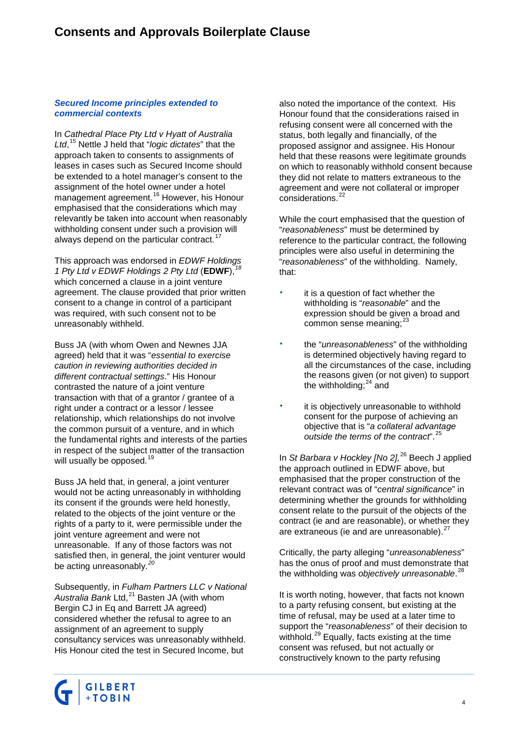## *Secured Income principles extended to commercial contexts*

In *Cathedral Place Pty Ltd v Hyatt of Australia Ltd*, [15](#page-5-14) Nettle J held that "*logic dictates*" that the approach taken to consents to assignments of leases in cases such as Secured Income should be extended to a hotel manager's consent to the assignment of the hotel owner under a hotel management agreement.[16](#page-5-15) However, his Honour emphasised that the considerations which may relevantly be taken into account when reasonably withholding consent under such a provision will always depend on the particular contract.<sup>[17](#page-5-16)</sup>

This approach was endorsed in *EDWF Holdings 1 Pty Ltd v EDWF Holdings 2 Pty Ltd* (**EDWF**),*[18](#page-5-17)* which concerned a clause in a joint venture agreement. The clause provided that prior written consent to a change in control of a participant was required, with such consent not to be unreasonably withheld.

Buss JA (with whom Owen and Newnes JJA agreed) held that it was "*essential to exercise caution in reviewing authorities decided in different contractual settings*." His Honour contrasted the nature of a joint venture transaction with that of a grantor / grantee of a right under a contract or a lessor / lessee relationship, which relationships do not involve the common pursuit of a venture, and in which the fundamental rights and interests of the parties in respect of the subject matter of the transaction will usually be opposed.<sup>[19](#page-5-18)</sup>

Buss JA held that, in general, a joint venturer would not be acting unreasonably in withholding its consent if the grounds were held honestly, related to the objects of the joint venture or the rights of a party to it, were permissible under the joint venture agreement and were not unreasonable. If any of those factors was not satisfied then, in general, the joint venturer would be acting unreasonably.*[20](#page-5-19)*

Subsequently, in *Fulham Partners LLC v National*  Australia Bank Ltd, <sup>[21](#page-5-20)</sup> Basten JA (with whom Bergin CJ in Eq and Barrett JA agreed) considered whether the refusal to agree to an assignment of an agreement to supply consultancy services was unreasonably withheld. His Honour cited the test in Secured Income, but

also noted the importance of the context. His Honour found that the considerations raised in refusing consent were all concerned with the status, both legally and financially, of the proposed assignor and assignee. His Honour held that these reasons were legitimate grounds on which to reasonably withhold consent because they did not relate to matters extraneous to the agreement and were not collateral or improper considerations.<sup>[22](#page-5-21)</sup>

While the court emphasised that the question of "*reasonableness*" must be determined by reference to the particular contract, the following principles were also useful in determining the "*reasonableness*" of the withholding. Namely, that:

- it is a question of fact whether the withholding is "*reasonable*" and the expression should be given a broad and common sense meaning; $^{23}$  $^{23}$  $^{23}$
- the "*unreasonableness*" of the withholding is determined objectively having regard to all the circumstances of the case, including the reasons given (or not given) to support the withholding; $24$  and
- it is objectively unreasonable to withhold consent for the purpose of achieving an objective that is "*a collateral advantage outside the terms of the contract*".[25](#page-5-24)

In *St Barbara v Hockley [No 2],*[26](#page-5-25) Beech J applied the approach outlined in EDWF above, but emphasised that the proper construction of the relevant contract was of "*central significance*" in determining whether the grounds for withholding consent relate to the pursuit of the objects of the contract (ie and are reasonable), or whether they are extraneous (ie and are unreasonable).<sup>[27](#page-5-26)</sup>

Critically, the party alleging "*unreasonableness*" has the onus of proof and must demonstrate that the withholding was *objectively unreasonable*. [28](#page-5-27)

It is worth noting, however, that facts not known to a party refusing consent, but existing at the time of refusal, may be used at a later time to support the "*reasonableness*" of their decision to withhold.<sup>[29](#page-5-28)</sup> Equally, facts existing at the time consent was refused, but not actually or constructively known to the party refusing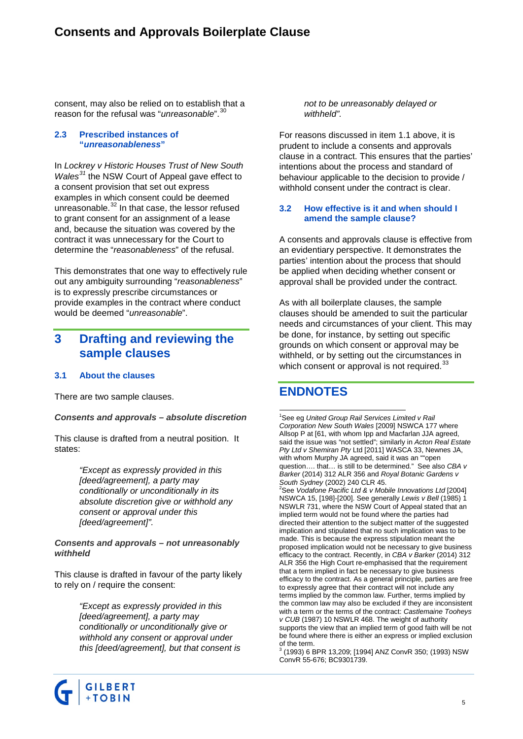consent, may also be relied on to establish that a reason for the refusal was "*unreasonable*".[30](#page-5-29)

#### **2.3 Prescribed instances of "***unreasonableness***"**

In *Lockrey v Historic Houses Trust of New South Wales[31](#page-5-30)* the NSW Court of Appeal gave effect to a consent provision that set out express examples in which consent could be deemed unreasonable.<sup>[32](#page-5-31)</sup> In that case, the lessor refused to grant consent for an assignment of a lease and, because the situation was covered by the contract it was unnecessary for the Court to determine the "*reasonableness*" of the refusal.

This demonstrates that one way to effectively rule out any ambiguity surrounding "*reasonableness*" is to expressly prescribe circumstances or provide examples in the contract where conduct would be deemed "*unreasonable*".

# **3 Drafting and reviewing the sample clauses**

## **3.1 About the clauses**

There are two sample clauses.

## *Consents and approvals – absolute discretion*

This clause is drafted from a neutral position. It states:

> *"Except as expressly provided in this [deed/agreement], a party may conditionally or unconditionally in its absolute discretion give or withhold any consent or approval under this [deed/agreement]".*

#### *Consents and approvals – not unreasonably withheld*

This clause is drafted in favour of the party likely to rely on / require the consent:

> *"Except as expressly provided in this [deed/agreement], a party may conditionally or unconditionally give or withhold any consent or approval under this [deed/agreement], but that consent is*

*not to be unreasonably delayed or withheld".*

For reasons discussed in item [1.1](#page-1-0) above, it is prudent to include a consents and approvals clause in a contract. This ensures that the parties' intentions about the process and standard of behaviour applicable to the decision to provide / withhold consent under the contract is clear.

## **3.2 How effective is it and when should I amend the sample clause?**

A consents and approvals clause is effective from an evidentiary perspective. It demonstrates the parties' intention about the process that should be applied when deciding whether consent or approval shall be provided under the contract.

As with all boilerplate clauses, the sample clauses should be amended to suit the particular needs and circumstances of your client. This may be done, for instance, by setting out specific grounds on which consent or approval may be withheld, or by setting out the circumstances in which consent or approval is not required.<sup>[33](#page-5-32)</sup>

# **ENDNOTES**

 $\frac{1}{1}$ See eg *United Group Rail Services Limited v Rail Corporation New South Wales* [2009] NSWCA 177 where Allsop P at [61, with whom Ipp and Macfarlan JJA agreed, said the issue was "not settled"; similarly in *Acton Real Estate Pty Ltd v Shemiran Pty* Ltd [2011] WASCA 33, Newnes JA, with whom Murphy JA agreed, said it was an ""open question…. that… is still to be determined." See also *CBA v Barker* (2014) 312 ALR 356 and *Royal Botanic Gardens v South Sydney* (2002) 240 CLR 45. <sup>2</sup> See *Vodafone Pacific Ltd & v Mobile Innovations Ltd* [2004]

NSWCA 15, [198]-[200]. See generally *Lewis v Bell* (1985) 1 NSWLR 731, where the NSW Court of Appeal stated that an implied term would not be found where the parties had directed their attention to the subject matter of the suggested implication and stipulated that no such implication was to be made. This is because the express stipulation meant the proposed implication would not be necessary to give business efficacy to the contract. Recently, in *CBA v Barker* (2014) 312 ALR 356 the High Court re-emphasised that the requirement that a term implied in fact be necessary to give business efficacy to the contract. As a general principle, parties are free to expressly agree that their contract will not include any terms implied by the common law. Further, terms implied by the common law may also be excluded if they are inconsistent with a term or the terms of the contract: *Castlemaine Tooheys v CUB* (1987) 10 NSWLR 468. The weight of authority supports the view that an implied term of good faith will be not be found where there is either an express or implied exclusion

of the term. <sup>3</sup> (1993) 6 BPR 13,209; [1994] ANZ ConvR 350; (1993) NSW ConvR 55-676; BC9301739.